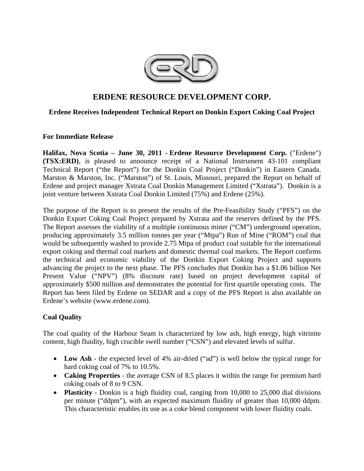

# **ERDENE RESOURCE DEVELOPMENT CORP.**

## **Erdene Receives Independent Technical Report on Donkin Export Coking Coal Project**

## **For Immediate Release**

**Halifax, Nova Scotia – June 30, 2011 - Erdene Resource Development Corp.** ("Erdene") **(TSX:ERD)**, is pleased to announce receipt of a National Instrument 43-101 compliant Technical Report ("the Report") for the Donkin Coal Project ("Donkin") in Eastern Canada. Marston & Marston, Inc. ("Marston") of St. Louis, Missouri, prepared the Report on behalf of Erdene and project manager Xstrata Coal Donkin Management Limited ("Xstrata"). Donkin is a joint venture between Xstrata Coal Donkin Limited (75%) and Erdene (25%).

The purpose of the Report is to present the results of the Pre-Feasibility Study ("PFS") on the Donkin Export Coking Coal Project prepared by Xstrata and the reserves defined by the PFS. The Report assesses the viability of a multiple continuous miner ("CM") underground operation, producing approximately 3.5 million tonnes per year ("Mtpa") Run of Mine ("ROM") coal that would be subsequently washed to provide 2.75 Mtpa of product coal suitable for the international export coking and thermal coal markets and domestic thermal coal markets. The Report confirms the technical and economic viability of the Donkin Export Coking Project and supports advancing the project to the next phase. The PFS concludes that Donkin has a \$1.06 billion Net Present Value ("NPV") (8% discount rate) based on project development capital of approximately \$500 million and demonstrates the potential for first quartile operating costs. The Report has been filed by Erdene on SEDAR and a copy of the PFS Report is also available on Erdene's website (www.erdene.com).

# **Coal Quality**

The coal quality of the Harbour Seam is characterized by low ash, high energy, high vitrinite content, high fluidity, high crucible swell number ("CSN") and elevated levels of sulfur.

- **Low Ash** the expected level of 4% air-dried ("ad") is well below the typical range for hard coking coal of 7% to 10.5%.
- **Caking Properties** the average CSN of 8.5 places it within the range for premium hard coking coals of 8 to 9 CSN.
- **Plasticity** Donkin is a high fluidity coal, ranging from 10,000 to 25,000 dial divisions per minute ("ddpm"), with an expected maximum fluidity of greater than 10,000 ddpm. This characteristic enables its use as a coke blend component with lower fluidity coals.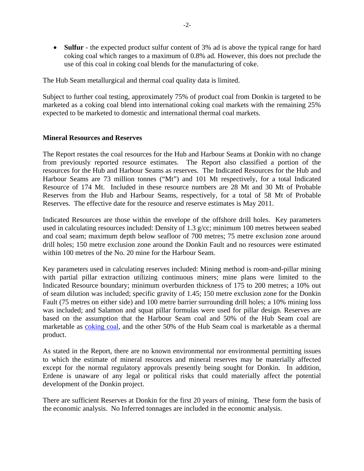**Sulfur** - the expected product sulfur content of 3% ad is above the typical range for hard coking coal which ranges to a maximum of 0.8% ad. However, this does not preclude the use of this coal in coking coal blends for the manufacturing of coke.

The Hub Seam metallurgical and thermal coal quality data is limited.

Subject to further coal testing, approximately 75% of product coal from Donkin is targeted to be marketed as a coking coal blend into international coking coal markets with the remaining 25% expected to be marketed to domestic and international thermal coal markets.

## **Mineral Resources and Reserves**

The Report restates the coal resources for the Hub and Harbour Seams at Donkin with no change from previously reported resource estimates. The Report also classified a portion of the resources for the Hub and Harbour Seams as reserves. The Indicated Resources for the Hub and Harbour Seams are 73 million tonnes ("Mt") and 101 Mt respectively, for a total Indicated Resource of 174 Mt. Included in these resource numbers are 28 Mt and 30 Mt of Probable Reserves from the Hub and Harbour Seams, respectively, for a total of 58 Mt of Probable Reserves. The effective date for the resource and reserve estimates is May 2011.

Indicated Resources are those within the envelope of the offshore drill holes. Key parameters used in calculating resources included: Density of 1.3 g/cc; minimum 100 metres between seabed and coal seam; maximum depth below seafloor of 700 metres; 75 metre exclusion zone around drill holes; 150 metre exclusion zone around the Donkin Fault and no resources were estimated within 100 metres of the No. 20 mine for the Harbour Seam.

Key parameters used in calculating reserves included: Mining method is room-and-pillar mining with partial pillar extraction utilizing continuous miners; mine plans were limited to the Indicated Resource boundary; minimum overburden thickness of 175 to 200 metres; a 10% out of seam dilution was included; specific gravity of 1.45; 150 metre exclusion zone for the Donkin Fault (75 metres on either side) and 100 metre barrier surrounding drill holes; a 10% mining loss was included; and Salamon and squat pillar formulas were used for pillar design. Reserves are based on the assumption that the Harbour Seam coal and 50% of the Hub Seam coal are marketable as coking coal, and the other 50% of the Hub Seam coal is marketable as a thermal product.

As stated in the Report, there are no known environmental nor environmental permitting issues to which the estimate of mineral resources and mineral reserves may be materially affected except for the normal regulatory approvals presently being sought for Donkin. In addition, Erdene is unaware of any legal or political risks that could materially affect the potential development of the Donkin project.

There are sufficient Reserves at Donkin for the first 20 years of mining. These form the basis of the economic analysis. No Inferred tonnages are included in the economic analysis.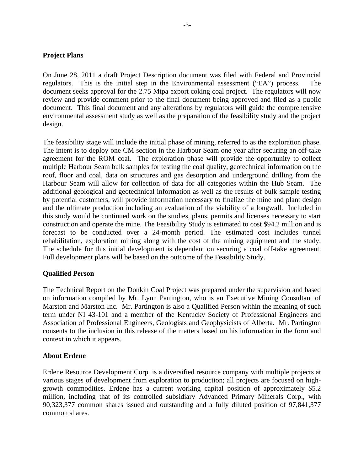## **Project Plans**

On June 28, 2011 a draft Project Description document was filed with Federal and Provincial regulators. This is the initial step in the Environmental assessment ("EA") process. document seeks approval for the 2.75 Mtpa export coking coal project. The regulators will now review and provide comment prior to the final document being approved and filed as a public document. This final document and any alterations by regulators will guide the comprehensive environmental assessment study as well as the preparation of the feasibility study and the project design.

The feasibility stage will include the initial phase of mining, referred to as the exploration phase. The intent is to deploy one CM section in the Harbour Seam one year after securing an off-take agreement for the ROM coal. The exploration phase will provide the opportunity to collect multiple Harbour Seam bulk samples for testing the coal quality, geotechnical information on the roof, floor and coal, data on structures and gas desorption and underground drilling from the Harbour Seam will allow for collection of data for all categories within the Hub Seam. The additional geological and geotechnical information as well as the results of bulk sample testing by potential customers, will provide information necessary to finalize the mine and plant design and the ultimate production including an evaluation of the viability of a longwall. Included in this study would be continued work on the studies, plans, permits and licenses necessary to start construction and operate the mine. The Feasibility Study is estimated to cost \$94.2 million and is forecast to be conducted over a 24-month period. The estimated cost includes tunnel rehabilitation, exploration mining along with the cost of the mining equipment and the study. The schedule for this initial development is dependent on securing a coal off-take agreement. Full development plans will be based on the outcome of the Feasibility Study.

## **Qualified Person**

The Technical Report on the Donkin Coal Project was prepared under the supervision and based on information compiled by Mr. Lynn Partington, who is an Executive Mining Consultant of Marston and Marston Inc. Mr. Partington is also a Qualified Person within the meaning of such term under NI 43-101 and a member of the Kentucky Society of Professional Engineers and Association of Professional Engineers, Geologists and Geophysicists of Alberta. Mr. Partington consents to the inclusion in this release of the matters based on his information in the form and context in which it appears.

## **About Erdene**

Erdene Resource Development Corp. is a diversified resource company with multiple projects at various stages of development from exploration to production; all projects are focused on highgrowth commodities. Erdene has a current working capital position of approximately \$5.2 million, including that of its controlled subsidiary Advanced Primary Minerals Corp., with 90,323,377 common shares issued and outstanding and a fully diluted position of 97,841,377 common shares.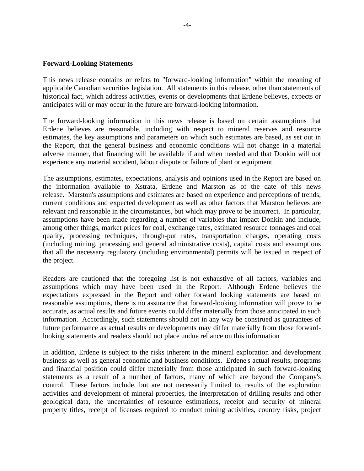#### **Forward-Looking Statements**

This news release contains or refers to "forward-looking information" within the meaning of applicable Canadian securities legislation. All statements in this release, other than statements of historical fact, which address activities, events or developments that Erdene believes, expects or anticipates will or may occur in the future are forward-looking information.

The forward-looking information in this news release is based on certain assumptions that Erdene believes are reasonable, including with respect to mineral reserves and resource estimates, the key assumptions and parameters on which such estimates are based, as set out in the Report, that the general business and economic conditions will not change in a material adverse manner, that financing will be available if and when needed and that Donkin will not experience any material accident, labour dispute or failure of plant or equipment.

The assumptions, estimates, expectations, analysis and opinions used in the Report are based on the information available to Xstrata, Erdene and Marston as of the date of this news release. Marston's assumptions and estimates are based on experience and perceptions of trends, current conditions and expected development as well as other factors that Marston believes are relevant and reasonable in the circumstances, but which may prove to be incorrect. In particular, assumptions have been made regarding a number of variables that impact Donkin and include, among other things, market prices for coal, exchange rates, estimated resource tonnages and coal quality, processing techniques, through-put rates, transportation charges, operating costs (including mining, processing and general administrative costs), capital costs and assumptions that all the necessary regulatory (including environmental) permits will be issued in respect of the project.

Readers are cautioned that the foregoing list is not exhaustive of all factors, variables and assumptions which may have been used in the Report. Although Erdene believes the expectations expressed in the Report and other forward looking statements are based on reasonable assumptions, there is no assurance that forward-looking information will prove to be accurate, as actual results and future events could differ materially from those anticipated in such information. Accordingly, such statements should not in any way be construed as guarantees of future performance as actual results or developments may differ materially from those forwardlooking statements and readers should not place undue reliance on this information

In addition, Erdene is subject to the risks inherent in the mineral exploration and development business as well as general economic and business conditions. Erdene's actual results, programs and financial position could differ materially from those anticipated in such forward-looking statements as a result of a number of factors, many of which are beyond the Company's control. These factors include, but are not necessarily limited to, results of the exploration activities and development of mineral properties, the interpretation of drilling results and other geological data, the uncertainties of resource estimations, receipt and security of mineral property titles, receipt of licenses required to conduct mining activities, country risks, project